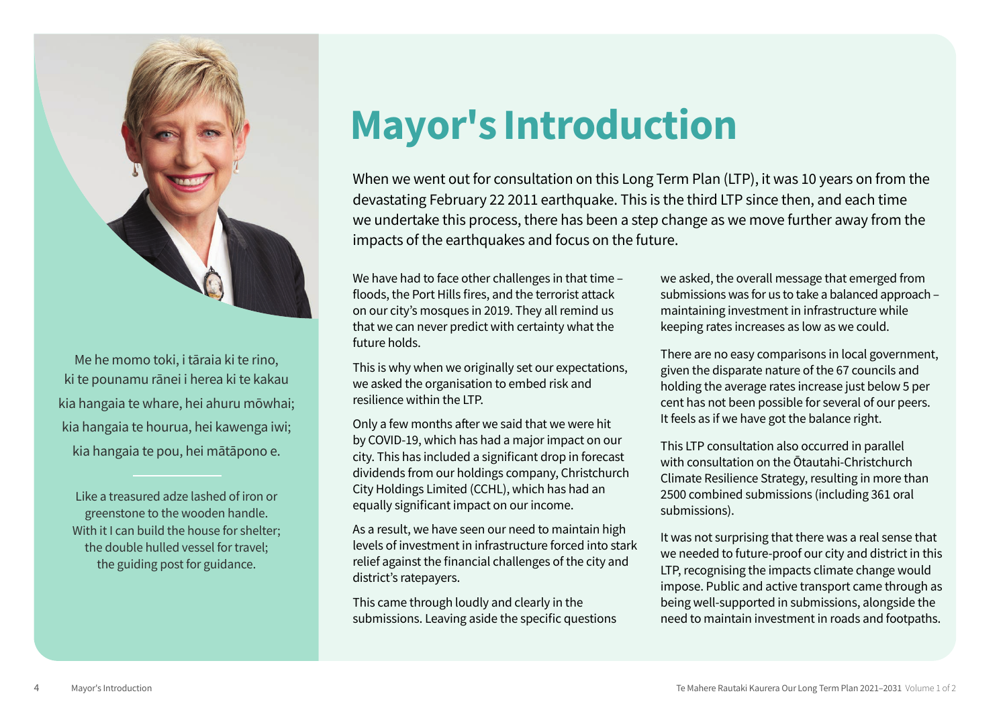

Me he momo toki, i tāraia ki te rino, ki te pounamu rānei i herea ki te kakau kia hangaia te whare, hei ahuru mōwhai; kia hangaia te hourua, hei kawenga iwi; kia hangaia te pou, hei mātāpono e.

Like a treasured adze lashed of iron or greenstone to the wooden handle. With it I can build the house for shelter; the double hulled vessel for travel; the guiding post for guidance.

# Mayor's Introduction

When we went out for consultation on this Long Term Plan (LTP), it was 10 years on from the devastating February 22 2011 earthquake. This is the third LTP since then, and each time we undertake this process, there has been a step change as we move further away from the impacts of the earthquakes and focus on the future.

We have had to face other challenges in that time – floods, the Port Hills fires, and the terrorist attack on our city's mosques in 2019. They all remind us that we can never predict with certainty what the future holds.

This is why when we originally set our expectations, we asked the organisation to embed risk and resilience within the LTP.

Only a few months after we said that we were hit by COVID-19, which has had a major impact on our city. This has included a significant drop in forecast dividends from our holdings company, Christchurch City Holdings Limited (CCHL), which has had an equally significant impact on our income.

As a result, we have seen our need to maintain high levels of investment in infrastructure forced into stark relief against the financial challenges of the city and district's ratepayers.

This came through loudly and clearly in the submissions. Leaving aside the specific questions we asked, the overall message that emerged from submissions was for us to take a balanced approach – maintaining investment in infrastructure while keeping rates increases as low as we could.

There are no easy comparisons in local government, given the disparate nature of the 67 councils and holding the average rates increase just below 5 per cent has not been possible for several of our peers. It feels as if we have got the balance right.

This LTP consultation also occurred in parallel with consultation on the Ōtautahi-Christchurch Climate Resilience Strategy, resulting in more than 2500 combined submissions (including 361 oral submissions).

It was not surprising that there was a real sense that we needed to future-proof our city and district in this LTP, recognising the impacts climate change would impose. Public and active transport came through as being well-supported in submissions, alongside the need to maintain investment in roads and footpaths.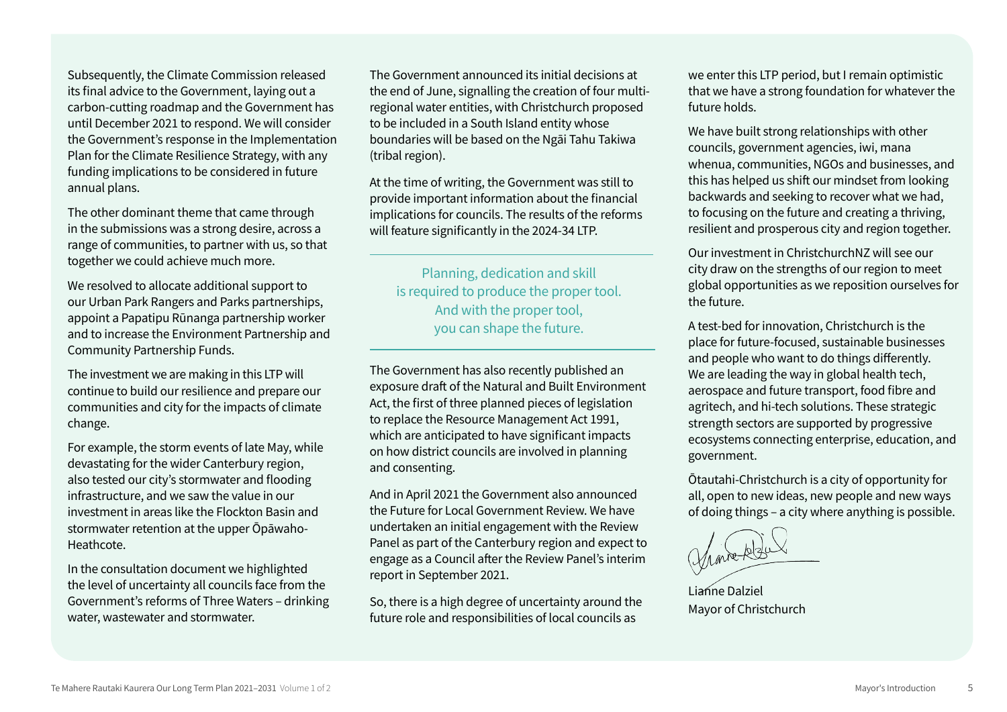Subsequently, the Climate Commission released its final advice to the Government, laying out a carbon-cutting roadmap and the Government has until December 2021 to respond. We will consider the Government's response in the Implementation Plan for the Climate Resilience Strategy, with any funding implications to be considered in future annual plans.

The other dominant theme that came through in the submissions was a strong desire, across a range of communities, to partner with us, so that together we could achieve much more.

We resolved to allocate additional support to our Urban Park Rangers and Parks partnerships, appoint a Papatipu Rūnanga partnership worker and to increase the Environment Partnership and Community Partnership Funds.

The investment we are making in this LTP will continue to build our resilience and prepare our communities and city for the impacts of climate change.

For example, the storm events of late May, while devastating for the wider Canterbury region, also tested our city's stormwater and flooding infrastructure, and we saw the value in our investment in areas like the Flockton Basin and stormwater retention at the upper Ōpāwaho-Heathcote.

In the consultation document we highlighted the level of uncertainty all councils face from the Government's reforms of Three Waters – drinking water, wastewater and stormwater.

The Government announced its initial decisions at the end of June, signalling the creation of four multiregional water entities, with Christchurch proposed to be included in a South Island entity whose boundaries will be based on the Ngāi Tahu Takiwa (tribal region).

At the time of writing, the Government was still to provide important information about the financial implications for councils. The results of the reforms will feature significantly in the 2024-34 LTP.

Planning, dedication and skill is required to produce the proper tool. And with the proper tool, you can shape the future.

The Government has also recently published an exposure draft of the Natural and Built Environment Act, the first of three planned pieces of legislation to replace the Resource Management Act 1991, which are anticipated to have significant impacts on how district councils are involved in planning and consenting.

And in April 2021 the Government also announced the Future for Local Government Review. We have undertaken an initial engagement with the Review Panel as part of the Canterbury region and expect to engage as a Council after the Review Panel's interim report in September 2021.

So, there is a high degree of uncertainty around the future role and responsibilities of local councils as

we enter this LTP period, but I remain optimistic that we have a strong foundation for whatever the future holds.

We have built strong relationships with other councils, government agencies, iwi, mana whenua, communities, NGOs and businesses, and this has helped us shift our mindset from looking backwards and seeking to recover what we had, to focusing on the future and creating a thriving, resilient and prosperous city and region together.

Our investment in ChristchurchNZ will see our city draw on the strengths of our region to meet global opportunities as we reposition ourselves for the future.

A test-bed for innovation, Christchurch is the place for future-focused, sustainable businesses and people who want to do things differently. We are leading the way in global health tech, aerospace and future transport, food fibre and agritech, and hi-tech solutions. These strategic strength sectors are supported by progressive ecosystems connecting enterprise, education, and government.

Ōtautahi-Christchurch is a city of opportunity for all, open to new ideas, new people and new ways of doing things – a city where anything is possible.

Lianne Dalziel Mayor of Christchurch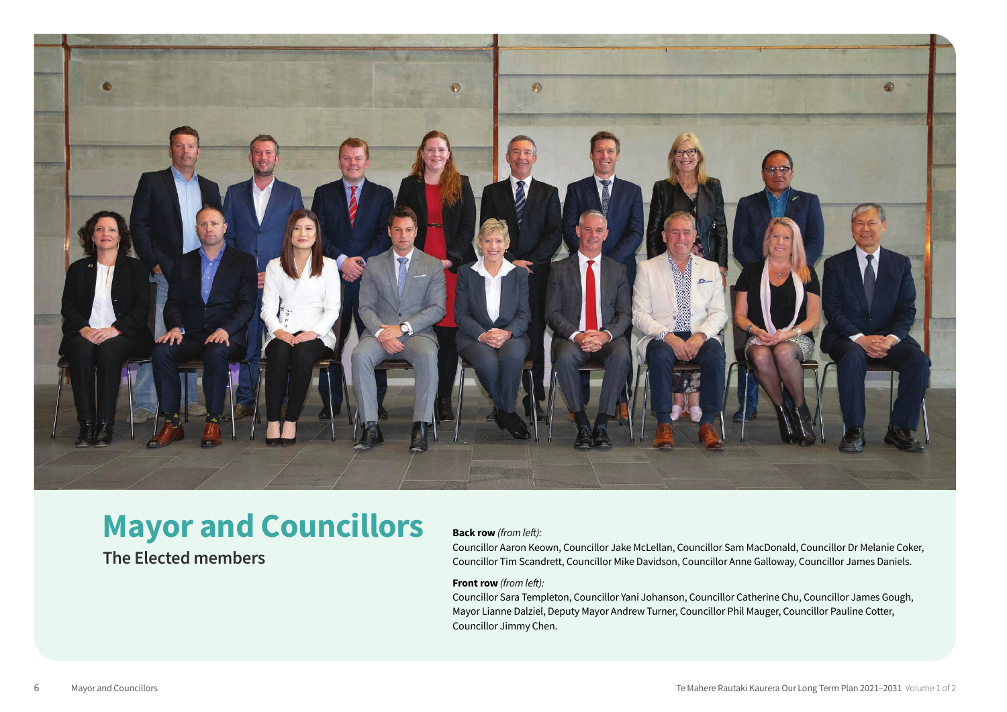

# **Mayor and Councillors**

## **The Elected members**

#### **Back row** *(from left):*

Councillor Aaron Keown, Councillor Jake McLellan, Councillor Sam MacDonald, Councillor Dr Melanie Coker, Councillor Tim Scandrett, Councillor Mike Davidson, Councillor Anne Galloway, Councillor James Daniels.

#### **Front row** *(from left):*

Councillor Sara Templeton, Councillor Yani Johanson, Councillor Catherine Chu, Councillor James Gough, Mayor Lianne Dalziel, Deputy Mayor Andrew Turner, Councillor Phil Mauger, Councillor Pauline Cotter, Councillor Jimmy Chen.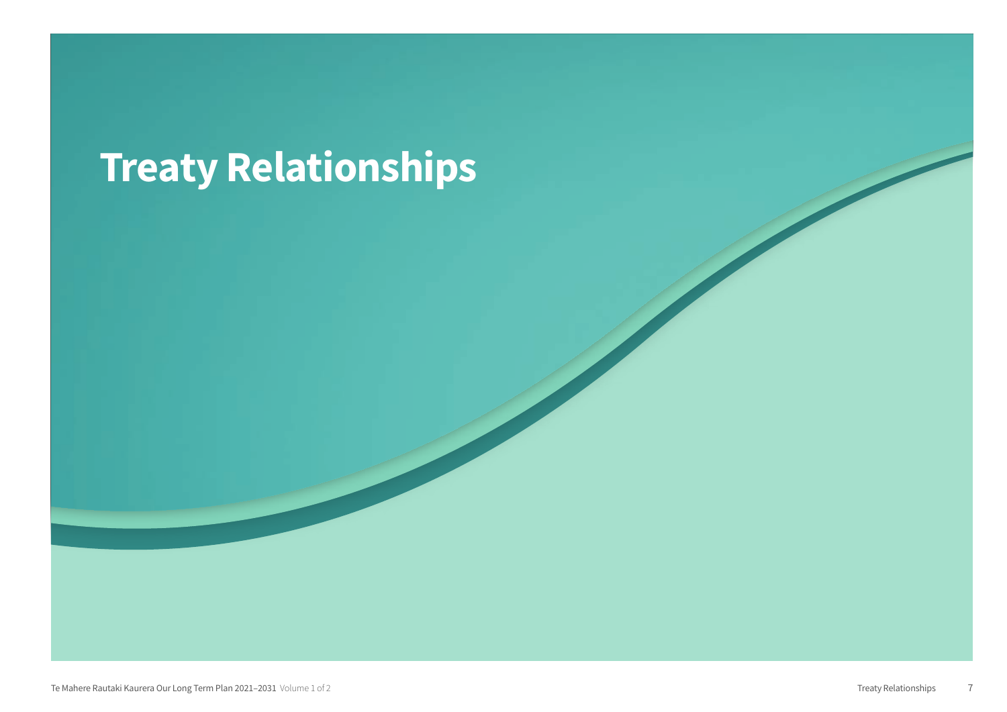# Treaty Relationships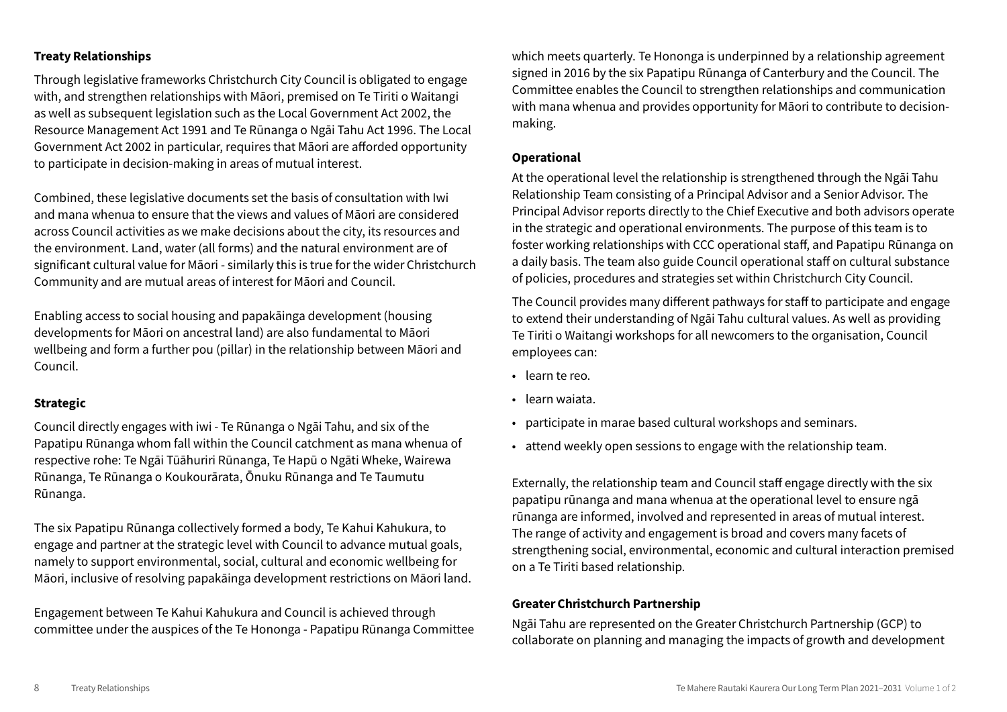#### Treaty Relationships

Through legislative frameworks Christchurch City Council is obligated to engage with, and strengthen relationships with Māori, premised on Te Tiriti o Waitangi as well as subsequent legislation such as the Local Government Act 2002, the Resource Management Act 1991 and Te Rūnanga o Ngāi Tahu Act 1996. The Local Government Act 2002 in particular, requires that Māori are afforded opportunity to participate in decision-making in areas of mutual interest.

Combined, these legislative documents set the basis of consultation with Iwi and mana whenua to ensure that the views and values of Māori are considered across Council activities as we make decisions about the city, its resources and the environment. Land, water (all forms) and the natural environment are of significant cultural value for Māori - similarly this is true for the wider Christchurch Community and are mutual areas of interest for Māori and Council.

Enabling access to social housing and papakāinga development (housing developments for Māori on ancestral land) are also fundamental to Māori wellbeing and form a further pou (pillar) in the relationship between Māori and Council.

#### Strategic

Council directly engages with iwi - Te Rūnanga o Ngāi Tahu, and six of the Papatipu Rūnanga whom fall within the Council catchment as mana whenua of respective rohe: Te Ngāi Tūāhuriri Rūnanga, Te Hapū o Ngāti Wheke, Wairewa Rūnanga, Te Rūnanga o Koukourārata, Ōnuku Rūnanga and Te Taumutu Rūnanga.

The six Papatipu Rūnanga collectively formed a body, Te Kahui Kahukura, to engage and partner at the strategic level with Council to advance mutual goals, namely to support environmental, social, cultural and economic wellbeing for Māori, inclusive of resolving papakāinga development restrictions on Māori land.

Engagement between Te Kahui Kahukura and Council is achieved through committee under the auspices of the Te Hononga - Papatipu Rūnanga Committee which meets quarterly. Te Hononga is underpinned by a relationship agreement signed in 2016 by the six Papatipu Rūnanga of Canterbury and the Council. The Committee enables the Council to strengthen relationships and communication with mana whenua and provides opportunity for Māori to contribute to decisionmaking.

#### **Operational**

At the operational level the relationship is strengthened through the Ngāi Tahu Relationship Team consisting of a Principal Advisor and a Senior Advisor. The Principal Advisor reports directly to the Chief Executive and both advisors operate in the strategic and operational environments. The purpose of this team is to foster working relationships with CCC operational staff, and Papatipu Rūnanga on a daily basis. The team also guide Council operational staff on cultural substance of policies, procedures and strategies set within Christchurch City Council.

The Council provides many different pathways for staff to participate and engage to extend their understanding of Ngāi Tahu cultural values. As well as providing Te Tiriti o Waitangi workshops for all newcomers to the organisation, Council employees can:

- learn te reo.
- learn waiata.
- participate in marae based cultural workshops and seminars.
- attend weekly open sessions to engage with the relationship team.

Externally, the relationship team and Council staff engage directly with the six papatipu rūnanga and mana whenua at the operational level to ensure ngā rūnanga are informed, involved and represented in areas of mutual interest. The range of activity and engagement is broad and covers many facets of strengthening social, environmental, economic and cultural interaction premised on a Te Tiriti based relationship.

#### Greater Christchurch Partnership

Ngāi Tahu are represented on the Greater Christchurch Partnership (GCP) to collaborate on planning and managing the impacts of growth and development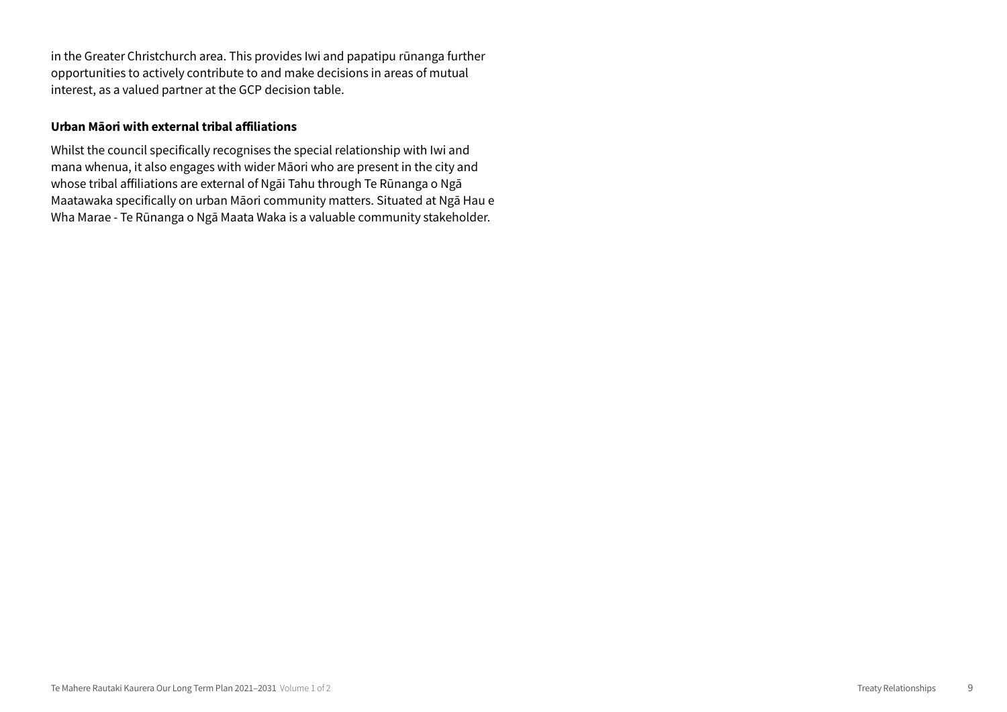in the Greater Christchurch area. This provides Iwi and papatipu rūnanga further opportunities to actively contribute to and make decisions in areas of mutual interest, as a valued partner at the GCP decision table.

#### Urban Māori with external tribal affiliations

Whilst the council specifically recognises the special relationship with Iwi and mana whenua, it also engages with wider Māori who are present in the city and whose tribal affiliations are external of Ngāi Tahu through Te Rūnanga o Ngā Maatawaka specifically on urban Māori community matters. Situated at Ngā Hau e Wha Marae - Te Rūnanga o Ngā Maata Waka is a valuable community stakeholder.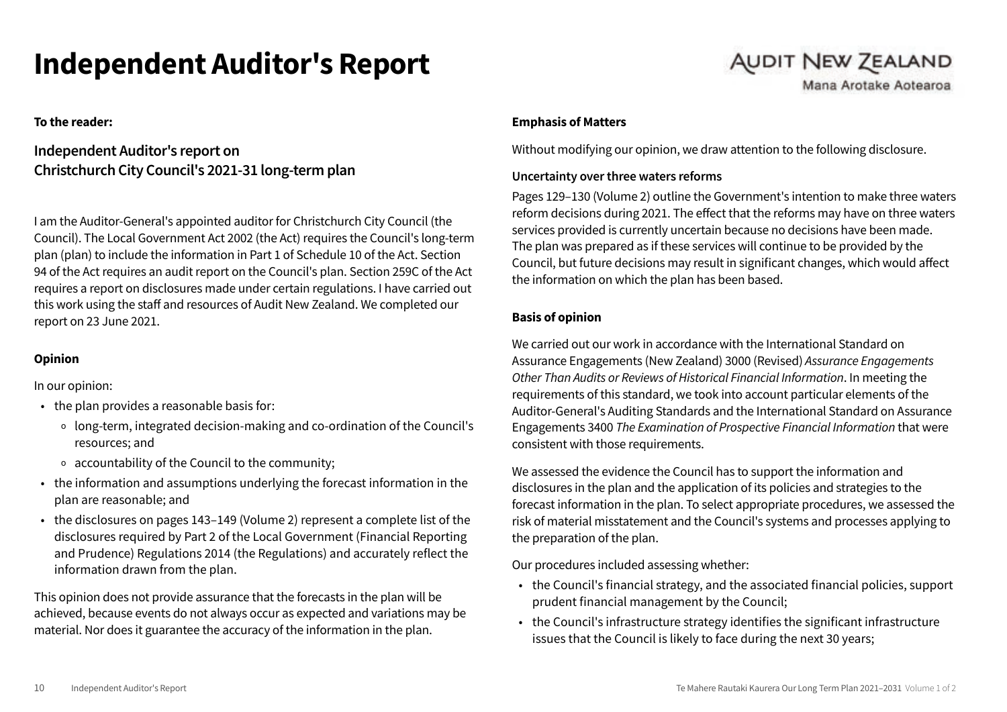# Independent Auditor's Report

**To the reader:**

### **Independent Auditor's report on Christchurch City Council's 2021-31 long-term plan**

I am the Auditor-General's appointed auditor for Christchurch City Council (the Council). The Local Government Act 2002 (the Act) requires the Council's long-term plan (plan) to include the information in Part 1 of Schedule 10 of the Act. Section 94 of the Act requires an audit report on the Council's plan. Section 259C of the Act requires a report on disclosures made under certain regulations. I have carried out this work using the staff and resources of Audit New Zealand. We completed our report on 23 June 2021.

### **Opinion**

In our opinion:

- the plan provides a reasonable basis for:
	- o long-term, integrated decision-making and co-ordination of the Council's resources; and
	- o accountability of the Council to the community;
- the information and assumptions underlying the forecast information in the plan are reasonable; and
- the disclosures on pages 143–149 (Volume 2) represent a complete list of the disclosures required by Part 2 of the Local Government (Financial Reporting and Prudence) Regulations 2014 (the Regulations) and accurately reflect the information drawn from the plan.

This opinion does not provide assurance that the forecasts in the plan will be achieved, because events do not always occur as expected and variations may be material. Nor does it guarantee the accuracy of the information in the plan.

#### **Emphasis of Matters**

Without modifying our opinion, we draw attention to the following disclosure.

**AUDIT NEW ZEALAND** 

Mana Arotake Aotearoa

#### **Uncertainty over three waters reforms**

Pages 129–130 (Volume 2) outline the Government's intention to make three waters reform decisions during 2021. The effect that the reforms may have on three waters services provided is currently uncertain because no decisions have been made. The plan was prepared as if these services will continue to be provided by the Council, but future decisions may result in significant changes, which would affect the information on which the plan has been based.

#### **Basis of opinion**

We carried out our work in accordance with the International Standard on Assurance Engagements (New Zealand) 3000 (Revised) *Assurance Engagements Other Than Audits or Reviews of Historical Financial Information*. In meeting the requirements of this standard, we took into account particular elements of the Auditor-General's Auditing Standards and the International Standard on Assurance Engagements 3400 *The Examination of Prospective Financial Information* that were consistent with those requirements.

We assessed the evidence the Council has to support the information and disclosures in the plan and the application of its policies and strategies to the forecast information in the plan. To select appropriate procedures, we assessed the risk of material misstatement and the Council's systems and processes applying to the preparation of the plan.

Our procedures included assessing whether:

- the Council's financial strategy, and the associated financial policies, support prudent financial management by the Council;
- the Council's infrastructure strategy identifies the significant infrastructure issues that the Council is likely to face during the next 30 years;